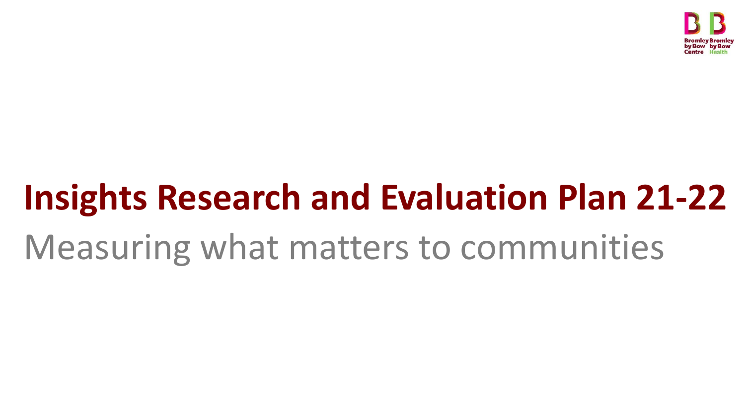

# **Insights Research and Evaluation Plan 21-22** Measuring what matters to communities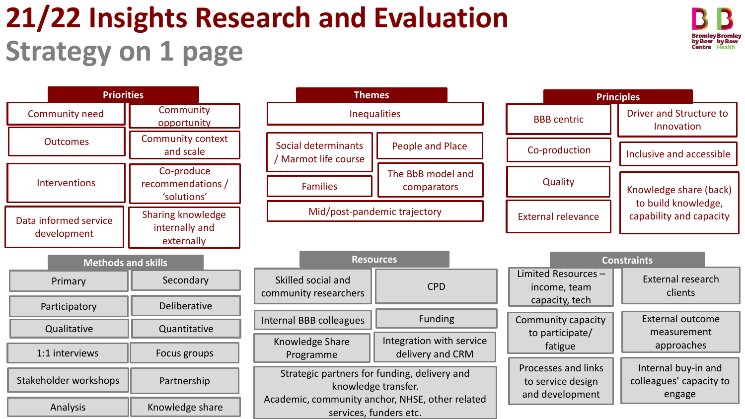# **21/22 Insights Research and Evaluation Strategy on 1 page**



Bromley Bromley by Bow by Bow Centre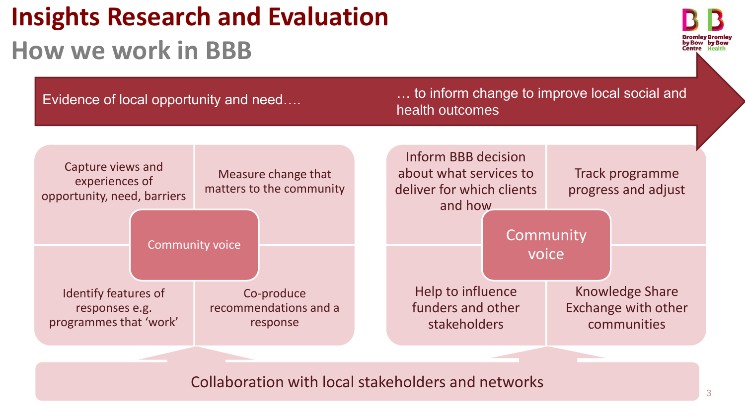## **Insights Research and Evaluation How we work in BBB**

Evidence of local opportunity and need…. … to inform change to improve local social and health outcomes



Collaboration with local stakeholders and networks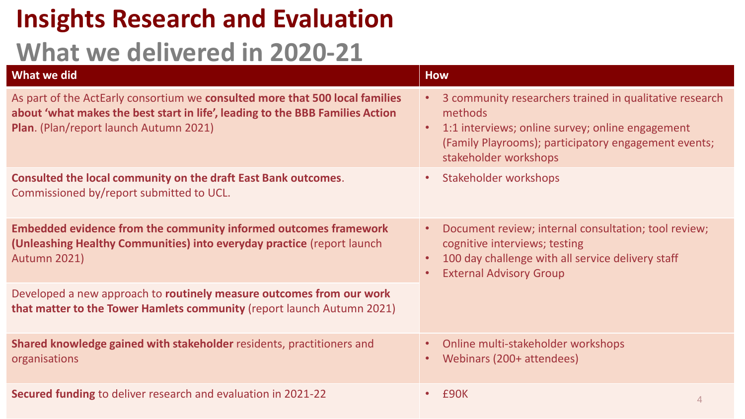### **Insights Research and Evaluation**

#### **What we delivered in 2020-21**

| What we did                                                                                                                                                                                             | <b>How</b>                                                                                                                                                                                                           |  |  |  |  |  |  |  |
|---------------------------------------------------------------------------------------------------------------------------------------------------------------------------------------------------------|----------------------------------------------------------------------------------------------------------------------------------------------------------------------------------------------------------------------|--|--|--|--|--|--|--|
| As part of the ActEarly consortium we consulted more that 500 local families<br>about 'what makes the best start in life', leading to the BBB Families Action<br>Plan. (Plan/report launch Autumn 2021) | 3 community researchers trained in qualitative research<br>$\bullet$<br>methods<br>1:1 interviews; online survey; online engagement<br>(Family Playrooms); participatory engagement events;<br>stakeholder workshops |  |  |  |  |  |  |  |
| <b>Consulted the local community on the draft East Bank outcomes.</b><br>Commissioned by/report submitted to UCL.                                                                                       | Stakeholder workshops<br>$\bullet$                                                                                                                                                                                   |  |  |  |  |  |  |  |
| <b>Embedded evidence from the community informed outcomes framework</b><br>(Unleashing Healthy Communities) into everyday practice (report launch<br><b>Autumn 2021)</b>                                | Document review; internal consultation; tool review;<br>$\bullet$<br>cognitive interviews; testing<br>100 day challenge with all service delivery staff<br>$\bullet$<br><b>External Advisory Group</b><br>$\bullet$  |  |  |  |  |  |  |  |
| Developed a new approach to routinely measure outcomes from our work<br>that matter to the Tower Hamlets community (report launch Autumn 2021)                                                          |                                                                                                                                                                                                                      |  |  |  |  |  |  |  |
| Shared knowledge gained with stakeholder residents, practitioners and<br>organisations                                                                                                                  | Online multi-stakeholder workshops<br>$\bullet$<br>Webinars (200+ attendees)<br>$\bullet$                                                                                                                            |  |  |  |  |  |  |  |
| Secured funding to deliver research and evaluation in 2021-22                                                                                                                                           | £90K<br>$\bullet$<br>$\overline{4}$                                                                                                                                                                                  |  |  |  |  |  |  |  |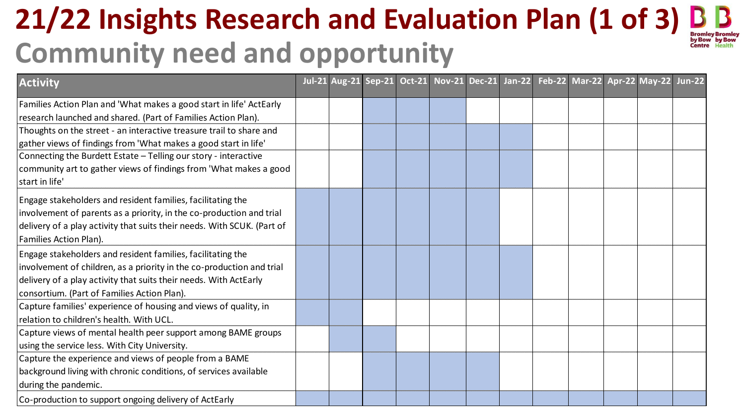#### **21/22 Insights Research and Evaluation Plan (1 of 3) Bromley Bromle** by Bow by Bow **Community need and opportunity Centre**

| <b>Activity</b>                                                         |  |  |  |  |  | Jul-21 Aug-21 Sep-21 Oct-21 Nov-21 Dec-21 Jan-22 Feb-22 Mar-22 Apr-22 May-22 Jun-22 |  |
|-------------------------------------------------------------------------|--|--|--|--|--|-------------------------------------------------------------------------------------|--|
| Families Action Plan and 'What makes a good start in life' ActEarly     |  |  |  |  |  |                                                                                     |  |
| research launched and shared. (Part of Families Action Plan).           |  |  |  |  |  |                                                                                     |  |
| Thoughts on the street - an interactive treasure trail to share and     |  |  |  |  |  |                                                                                     |  |
| gather views of findings from 'What makes a good start in life'         |  |  |  |  |  |                                                                                     |  |
| Connecting the Burdett Estate - Telling our story - interactive         |  |  |  |  |  |                                                                                     |  |
| community art to gather views of findings from 'What makes a good       |  |  |  |  |  |                                                                                     |  |
| start in life'                                                          |  |  |  |  |  |                                                                                     |  |
| Engage stakeholders and resident families, facilitating the             |  |  |  |  |  |                                                                                     |  |
| involvement of parents as a priority, in the co-production and trial    |  |  |  |  |  |                                                                                     |  |
| delivery of a play activity that suits their needs. With SCUK. (Part of |  |  |  |  |  |                                                                                     |  |
| Families Action Plan).                                                  |  |  |  |  |  |                                                                                     |  |
| Engage stakeholders and resident families, facilitating the             |  |  |  |  |  |                                                                                     |  |
| involvement of children, as a priority in the co-production and trial   |  |  |  |  |  |                                                                                     |  |
| delivery of a play activity that suits their needs. With ActEarly       |  |  |  |  |  |                                                                                     |  |
| consortium. (Part of Families Action Plan).                             |  |  |  |  |  |                                                                                     |  |
| Capture families' experience of housing and views of quality, in        |  |  |  |  |  |                                                                                     |  |
| relation to children's health. With UCL.                                |  |  |  |  |  |                                                                                     |  |
| Capture views of mental health peer support among BAME groups           |  |  |  |  |  |                                                                                     |  |
| using the service less. With City University.                           |  |  |  |  |  |                                                                                     |  |
| Capture the experience and views of people from a BAME                  |  |  |  |  |  |                                                                                     |  |
| background living with chronic conditions, of services available        |  |  |  |  |  |                                                                                     |  |
| during the pandemic.                                                    |  |  |  |  |  |                                                                                     |  |
| Co-production to support ongoing delivery of ActEarly                   |  |  |  |  |  |                                                                                     |  |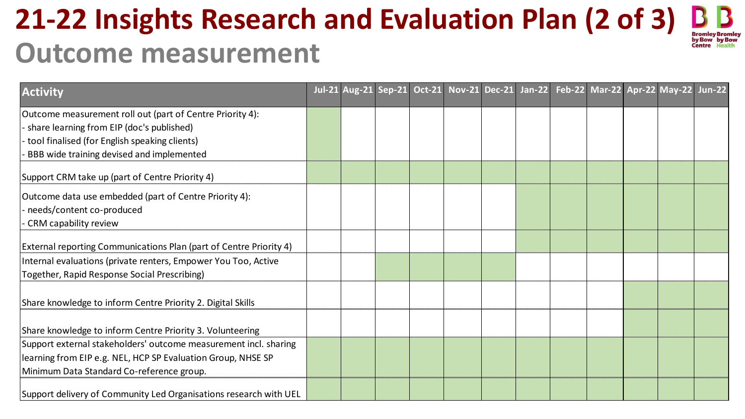#### **21-22 Insights Research and Evaluation Plan (2 of 3) Bromley Bromley** by Bow by Bow Centre Health **Outcome measurement**

| <b>Activity</b>                                                    |  | <b>Jul-21 Aug-21 Sep-21</b> |  |  |  | Oct-21 Nov-21 Dec-21 Jan-22 Feb-22 Mar-22 Apr-22 May-22 Jun-22 |  |
|--------------------------------------------------------------------|--|-----------------------------|--|--|--|----------------------------------------------------------------|--|
| Outcome measurement roll out (part of Centre Priority 4):          |  |                             |  |  |  |                                                                |  |
| share learning from EIP (doc's published)                          |  |                             |  |  |  |                                                                |  |
| tool finalised (for English speaking clients)                      |  |                             |  |  |  |                                                                |  |
| BBB wide training devised and implemented                          |  |                             |  |  |  |                                                                |  |
| Support CRM take up (part of Centre Priority 4)                    |  |                             |  |  |  |                                                                |  |
| Outcome data use embedded (part of Centre Priority 4):             |  |                             |  |  |  |                                                                |  |
| needs/content co-produced                                          |  |                             |  |  |  |                                                                |  |
| CRM capability review                                              |  |                             |  |  |  |                                                                |  |
| External reporting Communications Plan (part of Centre Priority 4) |  |                             |  |  |  |                                                                |  |
| Internal evaluations (private renters, Empower You Too, Active     |  |                             |  |  |  |                                                                |  |
| Together, Rapid Response Social Prescribing)                       |  |                             |  |  |  |                                                                |  |
| Share knowledge to inform Centre Priority 2. Digital Skills        |  |                             |  |  |  |                                                                |  |
| Share knowledge to inform Centre Priority 3. Volunteering          |  |                             |  |  |  |                                                                |  |
| Support external stakeholders' outcome measurement incl. sharing   |  |                             |  |  |  |                                                                |  |
| learning from EIP e.g. NEL, HCP SP Evaluation Group, NHSE SP       |  |                             |  |  |  |                                                                |  |
| Minimum Data Standard Co-reference group.                          |  |                             |  |  |  |                                                                |  |
| Support delivery of Community Led Organisations research with UEL  |  |                             |  |  |  |                                                                |  |